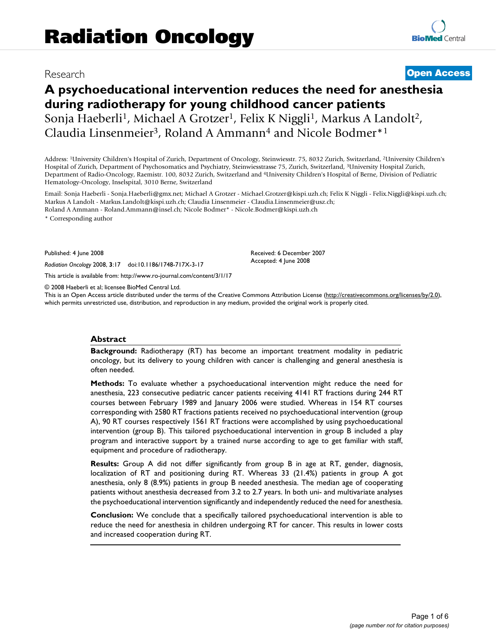# Research **[Open Access](http://www.biomedcentral.com/info/about/charter/)**

# **A psychoeducational intervention reduces the need for anesthesia during radiotherapy for young childhood cancer patients** Sonja Haeberli<sup>1</sup>, Michael A Grotzer<sup>1</sup>, Felix K Niggli<sup>1</sup>, Markus A Landolt<sup>2</sup>, Claudia Linsenmeier<sup>3</sup>, Roland A Ammann<sup>4</sup> and Nicole Bodmer<sup>\*1</sup>

Address: 1University Children's Hospital of Zurich, Department of Oncology, Steinwiesstr. 75, 8032 Zurich, Switzerland, 2University Children's Hospital of Zurich, Department of Psychosomatics and Psychiatry, Steinwiesstrasse 75, Zurich, Switzerland, 3University Hospital Zurich, Department of Radio-Oncology, Raemistr. 100, 8032 Zurich, Switzerland and 4University Children's Hospital of Berne, Division of Pediatric Hematology-Oncology, Inselspital, 3010 Berne, Switzerland

Email: Sonja Haeberli - Sonja.Haeberli@gmx.net; Michael A Grotzer - Michael.Grotzer@kispi.uzh.ch; Felix K Niggli - Felix.Niggli@kispi.uzh.ch; Markus A Landolt - Markus.Landolt@kispi.uzh.ch; Claudia Linsenmeier - Claudia.Linsenmeier@usz.ch; Roland A Ammann - Roland.Ammann@insel.ch; Nicole Bodmer\* - Nicole.Bodmer@kispi.uzh.ch

> Received: 6 December 2007 Accepted: 4 June 2008

\* Corresponding author

Published: 4 June 2008

*Radiation Oncology* 2008, **3**:17 doi:10.1186/1748-717X-3-17

[This article is available from: http://www.ro-journal.com/content/3/1/17](http://www.ro-journal.com/content/3/1/17)

© 2008 Haeberli et al; licensee BioMed Central Ltd.

This is an Open Access article distributed under the terms of the Creative Commons Attribution License [\(http://creativecommons.org/licenses/by/2.0\)](http://creativecommons.org/licenses/by/2.0), which permits unrestricted use, distribution, and reproduction in any medium, provided the original work is properly cited.

#### **Abstract**

**Background:** Radiotherapy (RT) has become an important treatment modality in pediatric oncology, but its delivery to young children with cancer is challenging and general anesthesia is often needed.

**Methods:** To evaluate whether a psychoeducational intervention might reduce the need for anesthesia, 223 consecutive pediatric cancer patients receiving 4141 RT fractions during 244 RT courses between February 1989 and January 2006 were studied. Whereas in 154 RT courses corresponding with 2580 RT fractions patients received no psychoeducational intervention (group A), 90 RT courses respectively 1561 RT fractions were accomplished by using psychoeducational intervention (group B). This tailored psychoeducational intervention in group B included a play program and interactive support by a trained nurse according to age to get familiar with staff, equipment and procedure of radiotherapy.

**Results:** Group A did not differ significantly from group B in age at RT, gender, diagnosis, localization of RT and positioning during RT. Whereas 33 (21.4%) patients in group A got anesthesia, only 8 (8.9%) patients in group B needed anesthesia. The median age of cooperating patients without anesthesia decreased from 3.2 to 2.7 years. In both uni- and multivariate analyses the psychoeducational intervention significantly and independently reduced the need for anesthesia.

**Conclusion:** We conclude that a specifically tailored psychoeducational intervention is able to reduce the need for anesthesia in children undergoing RT for cancer. This results in lower costs and increased cooperation during RT.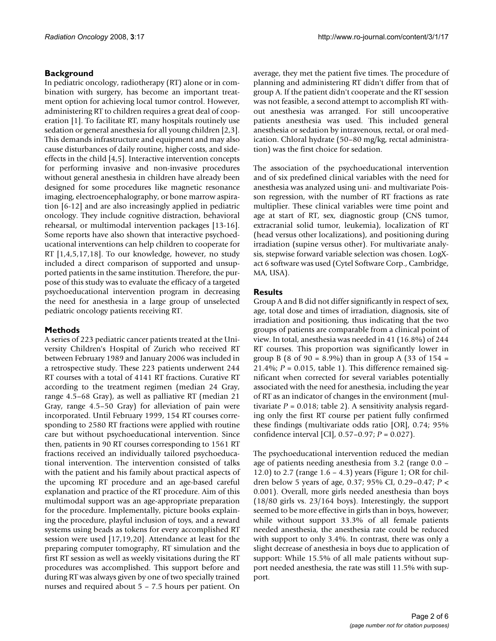# **Background**

In pediatric oncology, radiotherapy (RT) alone or in combination with surgery, has become an important treatment option for achieving local tumor control. However, administering RT to children requires a great deal of cooperation [1]. To facilitate RT, many hospitals routinely use sedation or general anesthesia for all young children [2,3]. This demands infrastructure and equipment and may also cause disturbances of daily routine, higher costs, and sideeffects in the child [4,5]. Interactive intervention concepts for performing invasive and non-invasive procedures without general anesthesia in children have already been designed for some procedures like magnetic resonance imaging, electroencephalography, or bone marrow aspiration [6-12] and are also increasingly applied in pediatric oncology. They include cognitive distraction, behavioral rehearsal, or multimodal intervention packages [13-16]. Some reports have also shown that interactive psychoeducational interventions can help children to cooperate for RT [1,4,5,17,18]. To our knowledge, however, no study included a direct comparison of supported and unsupported patients in the same institution. Therefore, the purpose of this study was to evaluate the efficacy of a targeted psychoeducational intervention program in decreasing the need for anesthesia in a large group of unselected pediatric oncology patients receiving RT.

# **Methods**

A series of 223 pediatric cancer patients treated at the University Children's Hospital of Zurich who received RT between February 1989 and January 2006 was included in a retrospective study. These 223 patients underwent 244 RT courses with a total of 4141 RT fractions. Curative RT according to the treatment regimen (median 24 Gray, range 4.5–68 Gray), as well as palliative RT (median 21 Gray, range 4.5–50 Gray) for alleviation of pain were incorporated. Until February 1999, 154 RT courses corresponding to 2580 RT fractions were applied with routine care but without psychoeducational intervention. Since then, patients in 90 RT courses corresponding to 1561 RT fractions received an individually tailored psychoeducational intervention. The intervention consisted of talks with the patient and his family about practical aspects of the upcoming RT procedure and an age-based careful explanation and practice of the RT procedure. Aim of this multimodal support was an age-appropriate preparation for the procedure. Implementally, picture books explaining the procedure, playful inclusion of toys, and a reward systems using beads as tokens for every accomplished RT session were used [17,19,20]. Attendance at least for the preparing computer tomography, RT simulation and the first RT session as well as weekly visitations during the RT procedures was accomplished. This support before and during RT was always given by one of two specially trained nurses and required about 5 – 7.5 hours per patient. On

average, they met the patient five times. The procedure of planning and administering RT didn't differ from that of group A. If the patient didn't cooperate and the RT session was not feasible, a second attempt to accomplish RT without anesthesia was arranged. For still uncooperative patients anesthesia was used. This included general anesthesia or sedation by intravenous, rectal, or oral medication. Chloral hydrate (50–80 mg/kg, rectal administration) was the first choice for sedation.

The association of the psychoeducational intervention and of six predefined clinical variables with the need for anesthesia was analyzed using uni- and multivariate Poisson regression, with the number of RT fractions as rate multiplier. These clinical variables were time point and age at start of RT, sex, diagnostic group (CNS tumor, extracranial solid tumor, leukemia), localization of RT (head versus other localizations), and positioning during irradiation (supine versus other). For multivariate analysis, stepwise forward variable selection was chosen. LogXact 6 software was used (Cytel Software Corp., Cambridge, MA, USA).

# **Results**

Group A and B did not differ significantly in respect of sex, age, total dose and times of irradiation, diagnosis, site of irradiation and positioning, thus indicating that the two groups of patients are comparable from a clinical point of view. In total, anesthesia was needed in 41 (16.8%) of 244 RT courses. This proportion was significantly lower in group B (8 of 90 = 8.9%) than in group A (33 of  $154 =$ 21.4%;  $P = 0.015$ , table 1). This difference remained significant when corrected for several variables potentially associated with the need for anesthesia, including the year of RT as an indicator of changes in the environment (multivariate  $P = 0.018$ ; table 2). A sensitivity analysis regarding only the first RT course per patient fully confirmed these findings (multivariate odds ratio [OR], 0.74; 95% confidence interval [CI], 0.57–0.97; *P* = 0.027).

The psychoeducational intervention reduced the median age of patients needing anesthesia from 3.2 (range 0.0 – 12.0) to 2.7 (range 1.6 – 4.3) years (Figure 1; OR for children below 5 years of age, 0.37; 95% CI, 0.29–0.47; *P* < 0.001). Overall, more girls needed anesthesia than boys (18/80 girls vs. 23/164 boys). Interestingly, the support seemed to be more effective in girls than in boys, however; while without support 33.3% of all female patients needed anesthesia, the anesthesia rate could be reduced with support to only 3.4%. In contrast, there was only a slight decrease of anesthesia in boys due to application of support: While 15.5% of all male patients without support needed anesthesia, the rate was still 11.5% with support.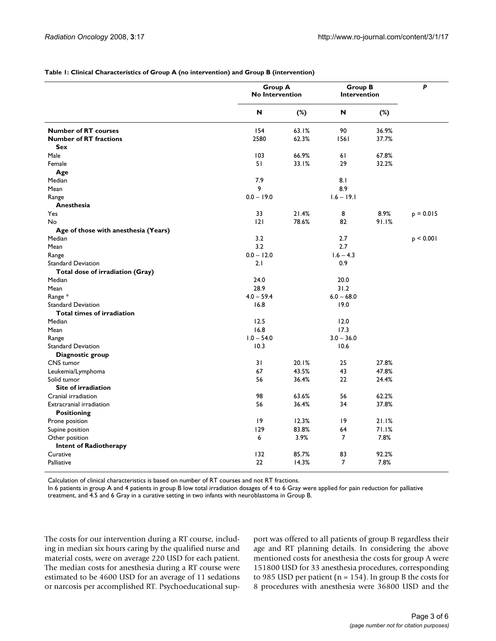#### **Table 1: Clinical Characteristics of Group A (no intervention) and Group B (intervention)**

|                                      | <b>Group A</b><br><b>No Intervention</b> |       | <b>Group B</b><br><b>Intervention</b> |       | P           |
|--------------------------------------|------------------------------------------|-------|---------------------------------------|-------|-------------|
|                                      | N                                        | (%)   | N                                     | $(*)$ |             |
| <b>Number of RT courses</b>          | 154                                      | 63.1% | 90                                    | 36.9% |             |
| <b>Number of RT fractions</b>        | 2580                                     | 62.3% | 1561                                  | 37.7% |             |
| <b>Sex</b>                           |                                          |       |                                       |       |             |
| Male                                 | 103                                      | 66.9% | 61                                    | 67.8% |             |
| Female                               | 51                                       | 33.I% | 29                                    | 32.2% |             |
| Age                                  |                                          |       |                                       |       |             |
| Median                               | 7.9                                      |       | 8.1                                   |       |             |
| Mean                                 | 9                                        |       | 8.9                                   |       |             |
| Range                                | $0.0 - 19.0$                             |       | $1.6 - 19.1$                          |       |             |
| Anesthesia                           |                                          |       |                                       |       |             |
| Yes                                  | 33                                       | 21.4% | 8                                     | 8.9%  | $p = 0.015$ |
| No                                   | 2                                        | 78.6% | 82                                    | 91.1% |             |
| Age of those with anesthesia (Years) |                                          |       |                                       |       |             |
| Median                               | 3.2                                      |       | 2.7                                   |       | p < 0.001   |
| Mean                                 | 3.2                                      |       | 2.7                                   |       |             |
| Range                                | $0.0 - 12.0$                             |       | $1.6 - 4.3$                           |       |             |
| <b>Standard Deviation</b>            | 2.1                                      |       | 0.9                                   |       |             |
| Total dose of irradiation (Gray)     |                                          |       |                                       |       |             |
| Median                               | 24.0                                     |       | 20.0                                  |       |             |
| Mean                                 | 28.9                                     |       | 31.2                                  |       |             |
| Range*                               | $4.0 - 59.4$                             |       | $6.0 - 68.0$                          |       |             |
| <b>Standard Deviation</b>            | 16.8                                     |       | 19.0                                  |       |             |
| <b>Total times of irradiation</b>    |                                          |       |                                       |       |             |
| Median                               | 12.5                                     |       | 12.0                                  |       |             |
| Mean                                 | 16.8                                     |       | 17.3                                  |       |             |
| Range                                | $1.0 - 54.0$                             |       | $3.0 - 36.0$                          |       |             |
| <b>Standard Deviation</b>            | 10.3                                     |       | 10.6                                  |       |             |
| Diagnostic group                     |                                          |       |                                       |       |             |
| CNS tumor                            | 31                                       | 20.1% | 25                                    | 27.8% |             |
| Leukemia/Lymphoma                    | 67                                       | 43.5% | 43                                    | 47.8% |             |
| Solid tumor                          | 56                                       | 36.4% | 22                                    | 24.4% |             |
| Site of irradiation                  |                                          |       |                                       |       |             |
| Cranial irradiation                  | 98                                       | 63.6% | 56                                    | 62.2% |             |
| Extracranial irradiation             | 56                                       | 36.4% | 34                                    | 37.8% |             |
|                                      |                                          |       |                                       |       |             |
| <b>Positioning</b>                   | 9                                        | 12.3% | 9                                     |       |             |
| Prone position                       | 129                                      | 83.8% | 64                                    | 21.1% |             |
| Supine position                      | 6                                        |       | 7                                     | 71.1% |             |
| Other position                       |                                          | 3.9%  |                                       | 7.8%  |             |
| <b>Intent of Radiotherapy</b>        |                                          |       |                                       |       |             |
| Curative                             | 132                                      | 85.7% | 83                                    | 92.2% |             |
| Palliative                           | 22                                       | 14.3% | $\overline{7}$                        | 7.8%  |             |

Calculation of clinical characteristics is based on number of RT courses and not RT fractions.

In 6 patients in group A and 4 patients in group B low total irradiation dosages of 4 to 6 Gray were applied for pain reduction for palliative treatment, and 4.5 and 6 Gray in a curative setting in two infants with neuroblastoma in Group B.

The costs for our intervention during a RT course, including in median six hours caring by the qualified nurse and material costs, were on average 220 USD for each patient. The median costs for anesthesia during a RT course were estimated to be 4600 USD for an average of 11 sedations or narcosis per accomplished RT. Psychoeducational support was offered to all patients of group B regardless their age and RT planning details. In considering the above mentioned costs for anesthesia the costs for group A were 151800 USD for 33 anesthesia procedures, corresponding to 985 USD per patient ( $n = 154$ ). In group B the costs for 8 procedures with anesthesia were 36800 USD and the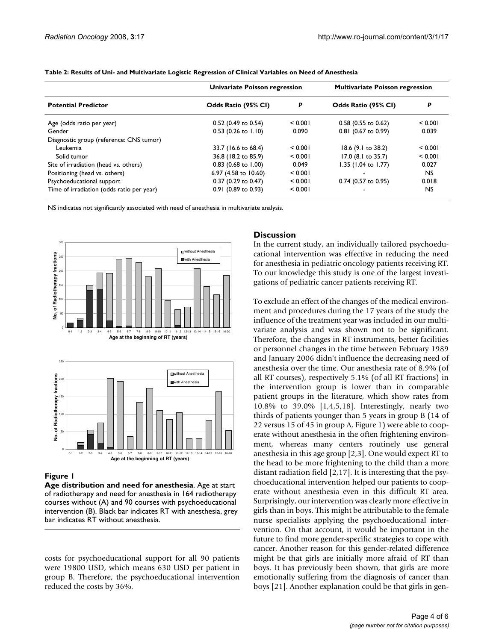| <b>Potential Predictor</b>                | Univariate Poisson regression |         | <b>Multivariate Poisson regression</b> |           |
|-------------------------------------------|-------------------------------|---------|----------------------------------------|-----------|
|                                           | Odds Ratio (95% CI)           | P       | Odds Ratio (95% CI)                    | P         |
| Age (odds ratio per year)                 | $0.52$ (0.49 to 0.54)         | 0.001   | $0.58$ (0.55 to 0.62)                  | < 0.001   |
| Gender                                    | $0.53$ (0.26 to 1.10)         | 0.090   | 0.81 (0.67 to 0.99)                    | 0.039     |
| Diagnostic group (reference: CNS tumor)   |                               |         |                                        |           |
| Leukemia                                  | 33.7 (16.6 to 68.4)           | < 0.001 | 18.6 (9.1 to 38.2)                     | 0.001     |
| Solid tumor                               | 36.8 (18.2 to 85.9)           | < 0.001 | 17.0 (8.1 to 35.7)                     | < 0.001   |
| Site of irradiation (head vs. others)     | $0.83$ (0.68 to 1.00)         | 0.049   | 1.35 (1.04 to 1.77)                    | 0.027     |
| Positioning (head vs. others)             | 6.97 (4.58 to 10.60)          | < 0.001 |                                        | <b>NS</b> |
| Psychoeducational support                 | 0.37 (0.29 to 0.47)           | < 0.001 | 0.74 (0.57 to 0.95)                    | 0.018     |
| Time of irradiation (odds ratio per year) | 0.91 (0.89 to 0.93)           | < 0.001 |                                        | NS.       |

**Table 2: Results of Uni- and Multivariate Logistic Regression of Clinical Variables on Need of Anesthesia**

NS indicates not significantly associated with need of anesthesia in multivariate analysis.



#### **Figure 1**

**Age distribution and need for anesthesia**. Age at start of radiotherapy and need for anesthesia in 164 radiotherapy courses without (A) and 90 courses with psychoeducational intervention (B). Black bar indicates RT with anesthesia, grey bar indicates RT without anesthesia.

costs for psychoeducational support for all 90 patients were 19800 USD, which means 630 USD per patient in group B. Therefore, the psychoeducational intervention reduced the costs by 36%.

### **Discussion**

In the current study, an individually tailored psychoeducational intervention was effective in reducing the need for anesthesia in pediatric oncology patients receiving RT. To our knowledge this study is one of the largest investigations of pediatric cancer patients receiving RT.

To exclude an effect of the changes of the medical environment and procedures during the 17 years of the study the influence of the treatment year was included in our multivariate analysis and was shown not to be significant. Therefore, the changes in RT instruments, better facilities or personnel changes in the time between February 1989 and January 2006 didn't influence the decreasing need of anesthesia over the time. Our anesthesia rate of 8.9% (of all RT courses), respectively 5.1% (of all RT fractions) in the intervention group is lower than in comparable patient groups in the literature, which show rates from 10.8% to 39.0% [1,4,5,18]. Interestingly, nearly two thirds of patients younger than 5 years in group B (14 of 22 versus 15 of 45 in group A, Figure 1) were able to cooperate without anesthesia in the often frightening environment, whereas many centers routinely use general anesthesia in this age group [2,3]. One would expect RT to the head to be more frightening to the child than a more distant radiation field [2,17]. It is interesting that the psychoeducational intervention helped our patients to cooperate without anesthesia even in this difficult RT area. Surprisingly, our intervention was clearly more effective in girls than in boys. This might be attributable to the female nurse specialists applying the psychoeducational intervention. On that account, it would be important in the future to find more gender-specific strategies to cope with cancer. Another reason for this gender-related difference might be that girls are initially more afraid of RT than boys. It has previously been shown, that girls are more emotionally suffering from the diagnosis of cancer than boys [21]. Another explanation could be that girls in gen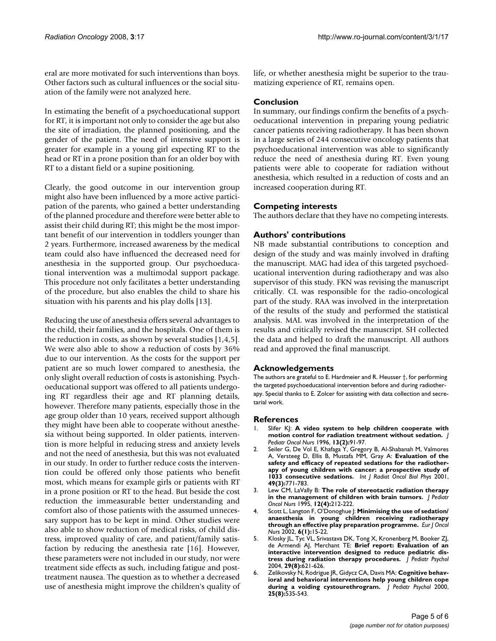eral are more motivated for such interventions than boys. Other factors such as cultural influences or the social situation of the family were not analyzed here.

In estimating the benefit of a psychoeducational support for RT, it is important not only to consider the age but also the site of irradiation, the planned positioning, and the gender of the patient. The need of intensive support is greater for example in a young girl expecting RT to the head or RT in a prone position than for an older boy with RT to a distant field or a supine positioning.

Clearly, the good outcome in our intervention group might also have been influenced by a more active participation of the parents, who gained a better understanding of the planned procedure and therefore were better able to assist their child during RT; this might be the most important benefit of our intervention in toddlers younger than 2 years. Furthermore, increased awareness by the medical team could also have influenced the decreased need for anesthesia in the supported group. Our psychoeducational intervention was a multimodal support package. This procedure not only facilitates a better understanding of the procedure, but also enables the child to share his situation with his parents and his play dolls [13].

Reducing the use of anesthesia offers several advantages to the child, their families, and the hospitals. One of them is the reduction in costs, as shown by several studies [1,4,5]. We were also able to show a reduction of costs by 36% due to our intervention. As the costs for the support per patient are so much lower compared to anesthesia, the only slight overall reduction of costs is astonishing. Psychoeducational support was offered to all patients undergoing RT regardless their age and RT planning details, however. Therefore many patients, especially those in the age group older than 10 years, received support although they might have been able to cooperate without anesthesia without being supported. In older patients, intervention is more helpful in reducing stress and anxiety levels and not the need of anesthesia, but this was not evaluated in our study. In order to further reduce costs the intervention could be offered only those patients who benefit most, which means for example girls or patients with RT in a prone position or RT to the head. But beside the cost reduction the immeasurable better understanding and comfort also of those patients with the assumed unnecessary support has to be kept in mind. Other studies were also able to show reduction of medical risks, of child distress, improved quality of care, and patient/family satisfaction by reducing the anesthesia rate [16]. However, these parameters were not included in our study, nor were treatment side effects as such, including fatigue and posttreatment nausea. The question as to whether a decreased use of anesthesia might improve the children's quality of life, or whether anesthesia might be superior to the traumatizing experience of RT, remains open.

# **Conclusion**

In summary, our findings confirm the benefits of a psychoeducational intervention in preparing young pediatric cancer patients receiving radiotherapy. It has been shown in a large series of 244 consecutive oncology patients that psychoeducational intervention was able to significantly reduce the need of anesthesia during RT. Even young patients were able to cooperate for radiation without anesthesia, which resulted in a reduction of costs and an increased cooperation during RT.

# **Competing interests**

The authors declare that they have no competing interests.

# **Authors' contributions**

NB made substantial contributions to conception and design of the study and was mainly involved in drafting the manuscript. MAG had idea of this targeted psychoeducational intervention during radiotherapy and was also supervisor of this study. FKN was revising the manuscript critically. CL was responsible for the radio-oncological part of the study. RAA was involved in the interpretation of the results of the study and performed the statistical analysis. MAL was involved in the interpretation of the results and critically revised the manuscript. SH collected the data and helped to draft the manuscript. All authors read and approved the final manuscript.

# **Acknowledgements**

The authors are grateful to E. Hardmeier and R. Heusser †, for performing the targeted psychoeducational intervention before and during radiotherapy. Special thanks to E. Zolcer for assisting with data collection and secretarial work.

# **References**

- 1. Slifer KJ: **[A video system to help children cooperate with](http://www.ncbi.nlm.nih.gov/entrez/query.fcgi?cmd=Retrieve&db=PubMed&dopt=Abstract&list_uids=8854992) [motion control for radiation treatment without sedation.](http://www.ncbi.nlm.nih.gov/entrez/query.fcgi?cmd=Retrieve&db=PubMed&dopt=Abstract&list_uids=8854992)** *J Pediatr Oncol Nurs* 1996, **13(2):**91-97.
- 2. Seiler G, De Vol E, Khafaga Y, Gregory B, Al-Shabanah M, Valmores A, Versteeg D, Ellis B, Mustafa MM, Gray A: **[Evaluation of the](http://www.ncbi.nlm.nih.gov/entrez/query.fcgi?cmd=Retrieve&db=PubMed&dopt=Abstract&list_uids=11172961) [safety and efficacy of repeated sedations for the radiother](http://www.ncbi.nlm.nih.gov/entrez/query.fcgi?cmd=Retrieve&db=PubMed&dopt=Abstract&list_uids=11172961)apy of young children with cancer: a prospective study of [1033 consecutive sedations.](http://www.ncbi.nlm.nih.gov/entrez/query.fcgi?cmd=Retrieve&db=PubMed&dopt=Abstract&list_uids=11172961)** *Int J Radiat Oncol Biol Phys* 2001, **49(3):**771-783.
- Lew CM, LaVally B: [The role of stereotactic radiation therapy](http://www.ncbi.nlm.nih.gov/entrez/query.fcgi?cmd=Retrieve&db=PubMed&dopt=Abstract&list_uids=7495526) **[in the management of children with brain tumors.](http://www.ncbi.nlm.nih.gov/entrez/query.fcgi?cmd=Retrieve&db=PubMed&dopt=Abstract&list_uids=7495526)** *J Pediatr Oncol Nurs* 1995, **12(4):**212-222.
- 4. Scott L, Langton F, O'Donoghue J: **[Minimising the use of sedation/](http://www.ncbi.nlm.nih.gov/entrez/query.fcgi?cmd=Retrieve&db=PubMed&dopt=Abstract&list_uids=12849605) [anaesthesia in young children receiving radiotherapy](http://www.ncbi.nlm.nih.gov/entrez/query.fcgi?cmd=Retrieve&db=PubMed&dopt=Abstract&list_uids=12849605) [through an effective play preparation programme.](http://www.ncbi.nlm.nih.gov/entrez/query.fcgi?cmd=Retrieve&db=PubMed&dopt=Abstract&list_uids=12849605)** *Eur J Oncol Nurs* 2002, **6(1):**15-22.
- 5. Klosky JL, Tyc VL, Srivastava DK, Tong X, Kronenberg M, Booker ZJ, de Armendi AJ, Merchant TE: **[Brief report: Evaluation of an](http://www.ncbi.nlm.nih.gov/entrez/query.fcgi?cmd=Retrieve&db=PubMed&dopt=Abstract&list_uids=15491984) [interactive intervention designed to reduce pediatric dis](http://www.ncbi.nlm.nih.gov/entrez/query.fcgi?cmd=Retrieve&db=PubMed&dopt=Abstract&list_uids=15491984)[tress during radiation therapy procedures.](http://www.ncbi.nlm.nih.gov/entrez/query.fcgi?cmd=Retrieve&db=PubMed&dopt=Abstract&list_uids=15491984)** *J Pediatr Psychol* 2004, **29(8):**621-626.
- 6. Zelikovsky N, Rodrigue JR, Gidycz CA, Davis MA: **[Cognitive behav](http://www.ncbi.nlm.nih.gov/entrez/query.fcgi?cmd=Retrieve&db=PubMed&dopt=Abstract&list_uids=11085757)[ioral and behavioral interventions help young children cope](http://www.ncbi.nlm.nih.gov/entrez/query.fcgi?cmd=Retrieve&db=PubMed&dopt=Abstract&list_uids=11085757) [during a voiding cystourethrogram.](http://www.ncbi.nlm.nih.gov/entrez/query.fcgi?cmd=Retrieve&db=PubMed&dopt=Abstract&list_uids=11085757)** *J Pediatr Psychol* 2000, **25(8):**535-543.